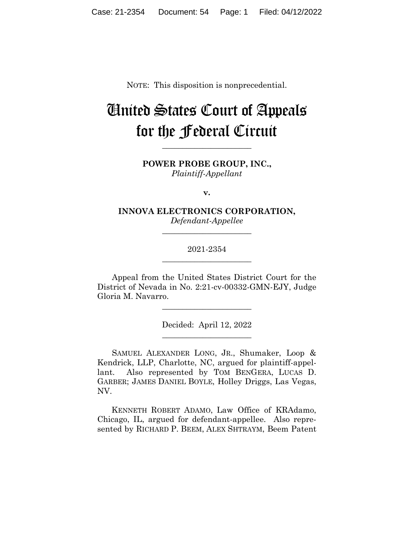NOTE: This disposition is nonprecedential.

# United States Court of Appeals for the Federal Circuit

**POWER PROBE GROUP, INC.,** *Plaintiff-Appellant*

**\_\_\_\_\_\_\_\_\_\_\_\_\_\_\_\_\_\_\_\_\_\_** 

**v.**

**INNOVA ELECTRONICS CORPORATION,** *Defendant-Appellee*

**\_\_\_\_\_\_\_\_\_\_\_\_\_\_\_\_\_\_\_\_\_\_** 

# 2021-2354 **\_\_\_\_\_\_\_\_\_\_\_\_\_\_\_\_\_\_\_\_\_\_**

Appeal from the United States District Court for the District of Nevada in No. 2:21-cv-00332-GMN-EJY, Judge Gloria M. Navarro.

> Decided: April 12, 2022 \_\_\_\_\_\_\_\_\_\_\_\_\_\_\_\_\_\_\_\_\_\_

\_\_\_\_\_\_\_\_\_\_\_\_\_\_\_\_\_\_\_\_\_\_

SAMUEL ALEXANDER LONG, JR., Shumaker, Loop & Kendrick, LLP, Charlotte, NC, argued for plaintiff-appellant. Also represented by TOM BENGERA, LUCAS D. GARBER; JAMES DANIEL BOYLE, Holley Driggs, Las Vegas, NV.

 KENNETH ROBERT ADAMO, Law Office of KRAdamo, Chicago, IL, argued for defendant-appellee. Also represented by RICHARD P. BEEM, ALEX SHTRAYM, Beem Patent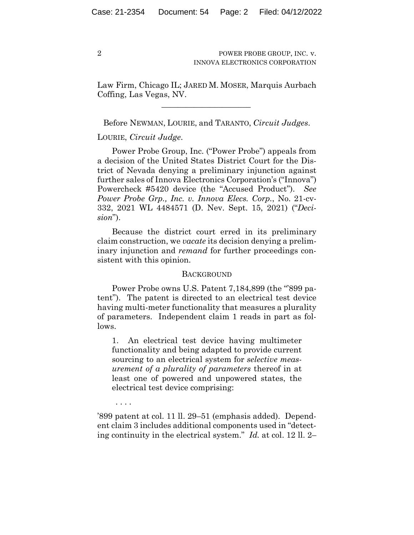Law Firm, Chicago IL; JARED M. MOSER, Marquis Aurbach Coffing, Las Vegas, NV.

 $\mathcal{L}_\text{max}$  and  $\mathcal{L}_\text{max}$  and  $\mathcal{L}_\text{max}$  and  $\mathcal{L}_\text{max}$ 

Before NEWMAN, LOURIE, and TARANTO, *Circuit Judges*.

# LOURIE, *Circuit Judge*.

Power Probe Group, Inc. ("Power Probe") appeals from a decision of the United States District Court for the District of Nevada denying a preliminary injunction against further sales of Innova Electronics Corporation's ("Innova") Powercheck #5420 device (the "Accused Product"). *See Power Probe Grp., Inc. v. Innova Elecs. Corp.*, No. 21-cv-332, 2021 WL 4484571 (D. Nev. Sept. 15, 2021) ("*Decision*").

Because the district court erred in its preliminary claim construction, we *vacate* its decision denying a preliminary injunction and *remand* for further proceedings consistent with this opinion.

## BACKGROUND

Power Probe owns U.S. Patent 7, 184, 899 (the "899 patent"). The patent is directed to an electrical test device having multi-meter functionality that measures a plurality of parameters. Independent claim 1 reads in part as follows.

1. An electrical test device having multimeter functionality and being adapted to provide current sourcing to an electrical system for *selective measurement of a plurality of parameters* thereof in at least one of powered and unpowered states, the electrical test device comprising:

. . . .

'899 patent at col. 11 ll. 29–51 (emphasis added). Dependent claim 3 includes additional components used in "detecting continuity in the electrical system." *Id.* at col. 12 ll. 2–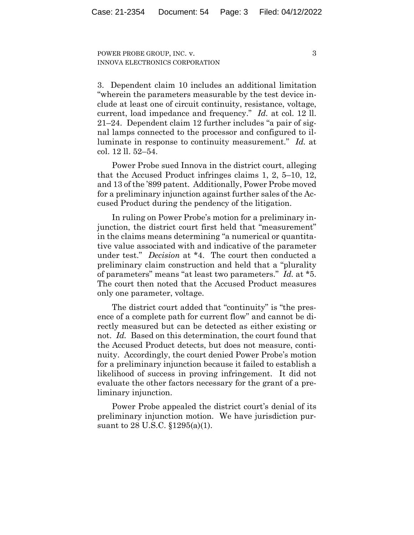3

3. Dependent claim 10 includes an additional limitation "wherein the parameters measurable by the test device include at least one of circuit continuity, resistance, voltage, current, load impedance and frequency." *Id.* at col. 12 ll. 21–24. Dependent claim 12 further includes "a pair of signal lamps connected to the processor and configured to illuminate in response to continuity measurement." *Id.* at col. 12 ll. 52–54.

Power Probe sued Innova in the district court, alleging that the Accused Product infringes claims 1, 2, 5–10, 12, and 13 of the '899 patent. Additionally, Power Probe moved for a preliminary injunction against further sales of the Accused Product during the pendency of the litigation.

In ruling on Power Probe's motion for a preliminary injunction, the district court first held that "measurement" in the claims means determining "a numerical or quantitative value associated with and indicative of the parameter under test." *Decision* at \*4. The court then conducted a preliminary claim construction and held that a "plurality of parameters" means "at least two parameters." *Id.* at \*5. The court then noted that the Accused Product measures only one parameter, voltage.

The district court added that "continuity" is "the presence of a complete path for current flow" and cannot be directly measured but can be detected as either existing or not. *Id.* Based on this determination, the court found that the Accused Product detects, but does not measure, continuity. Accordingly, the court denied Power Probe's motion for a preliminary injunction because it failed to establish a likelihood of success in proving infringement. It did not evaluate the other factors necessary for the grant of a preliminary injunction.

Power Probe appealed the district court's denial of its preliminary injunction motion. We have jurisdiction pursuant to 28 U.S.C. §1295(a)(1).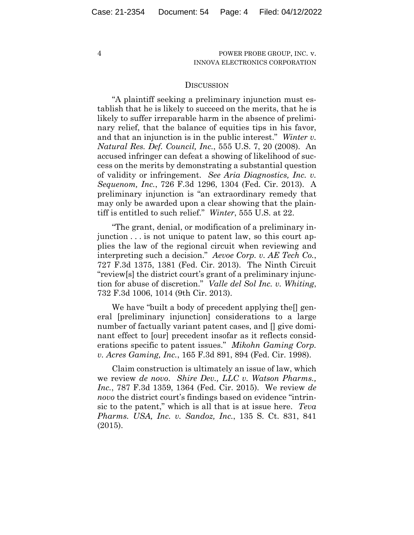### **DISCUSSION**

"A plaintiff seeking a preliminary injunction must establish that he is likely to succeed on the merits, that he is likely to suffer irreparable harm in the absence of preliminary relief, that the balance of equities tips in his favor, and that an injunction is in the public interest." *Winter v. Natural Res. Def. Council, Inc.*, 555 U.S. 7, 20 (2008). An accused infringer can defeat a showing of likelihood of success on the merits by demonstrating a substantial question of validity or infringement. *See Aria Diagnostics, Inc. v. Sequenom, Inc.*, 726 F.3d 1296, 1304 (Fed. Cir. 2013). A preliminary injunction is "an extraordinary remedy that may only be awarded upon a clear showing that the plaintiff is entitled to such relief." *Winter*, 555 U.S. at 22.

"The grant, denial, or modification of a preliminary injunction . . . is not unique to patent law, so this court applies the law of the regional circuit when reviewing and interpreting such a decision." *Aevoe Corp. v. AE Tech Co.*, 727 F.3d 1375, 1381 (Fed. Cir. 2013). The Ninth Circuit "review[s] the district court's grant of a preliminary injunction for abuse of discretion." *Valle del Sol Inc. v. Whiting*, 732 F.3d 1006, 1014 (9th Cir. 2013).

We have "built a body of precedent applying the  $\lceil \text{gen} \cdot \rceil$ eral [preliminary injunction] considerations to a large number of factually variant patent cases, and  $\eta$  give dominant effect to [our] precedent insofar as it reflects considerations specific to patent issues." *Mikohn Gaming Corp. v. Acres Gaming, Inc.*, 165 F.3d 891, 894 (Fed. Cir. 1998).

Claim construction is ultimately an issue of law, which we review *de novo*. *Shire Dev., LLC v. Watson Pharms., Inc.*, 787 F.3d 1359, 1364 (Fed. Cir. 2015). We review *de novo* the district court's findings based on evidence "intrinsic to the patent," which is all that is at issue here. *Teva Pharms. USA, Inc. v. Sandoz, Inc.*, 135 S. Ct. 831, 841 (2015).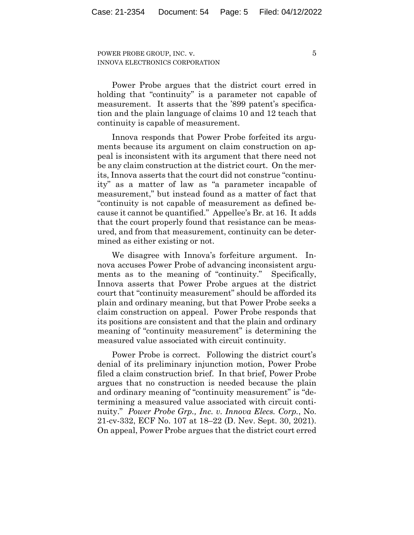Power Probe argues that the district court erred in holding that "continuity" is a parameter not capable of measurement. It asserts that the '899 patent's specification and the plain language of claims 10 and 12 teach that continuity is capable of measurement.

Innova responds that Power Probe forfeited its arguments because its argument on claim construction on appeal is inconsistent with its argument that there need not be any claim construction at the district court. On the merits, Innova asserts that the court did not construe "continuity" as a matter of law as "a parameter incapable of measurement," but instead found as a matter of fact that "continuity is not capable of measurement as defined because it cannot be quantified." Appellee's Br. at 16. It adds that the court properly found that resistance can be measured, and from that measurement, continuity can be determined as either existing or not.

We disagree with Innova's forfeiture argument. Innova accuses Power Probe of advancing inconsistent arguments as to the meaning of "continuity." Specifically, Innova asserts that Power Probe argues at the district court that "continuity measurement" should be afforded its plain and ordinary meaning, but that Power Probe seeks a claim construction on appeal. Power Probe responds that its positions are consistent and that the plain and ordinary meaning of "continuity measurement" is determining the measured value associated with circuit continuity.

Power Probe is correct. Following the district court's denial of its preliminary injunction motion, Power Probe filed a claim construction brief. In that brief, Power Probe argues that no construction is needed because the plain and ordinary meaning of "continuity measurement" is "determining a measured value associated with circuit continuity." *Power Probe Grp., Inc. v. Innova Elecs. Corp.*, No. 21-cv-332, ECF No. 107 at 18–22 (D. Nev. Sept. 30, 2021). On appeal, Power Probe argues that the district court erred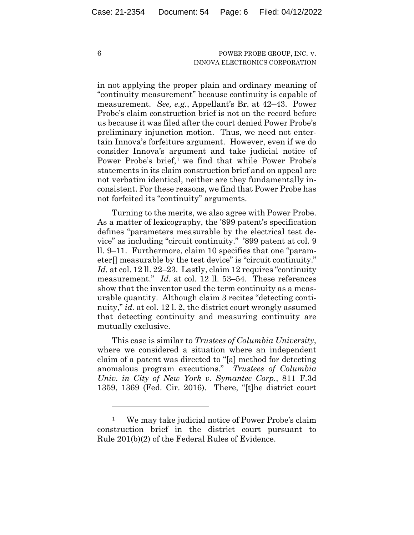in not applying the proper plain and ordinary meaning of "continuity measurement" because continuity is capable of measurement. *See, e.g.*, Appellant's Br. at 42–43. Power Probe's claim construction brief is not on the record before us because it was filed after the court denied Power Probe's preliminary injunction motion. Thus, we need not entertain Innova's forfeiture argument. However, even if we do consider Innova's argument and take judicial notice of Power Probe's brief,<sup>1</sup> we find that while Power Probe's statements in its claim construction brief and on appeal are not verbatim identical, neither are they fundamentally inconsistent. For these reasons, we find that Power Probe has not forfeited its "continuity" arguments.

Turning to the merits, we also agree with Power Probe. As a matter of lexicography, the '899 patent's specification defines "parameters measurable by the electrical test device" as including "circuit continuity." '899 patent at col. 9 ll. 9–11. Furthermore, claim 10 specifies that one "parameter[] measurable by the test device" is "circuit continuity." *Id.* at col. 12 ll. 22–23. Lastly, claim 12 requires "continuity measurement." *Id.* at col. 12 ll. 53–54. These references show that the inventor used the term continuity as a measurable quantity. Although claim 3 recites "detecting continuity," *id.* at col. 12 l. 2, the district court wrongly assumed that detecting continuity and measuring continuity are mutually exclusive.

This case is similar to *Trustees of Columbia University*, where we considered a situation where an independent claim of a patent was directed to "[a] method for detecting anomalous program executions." *Trustees of Columbia Univ. in City of New York v. Symantec Corp.*, 811 F.3d 1359, 1369 (Fed. Cir. 2016). There, "[t]he district court

<sup>1</sup> We may take judicial notice of Power Probe's claim construction brief in the district court pursuant to Rule 201(b)(2) of the Federal Rules of Evidence.